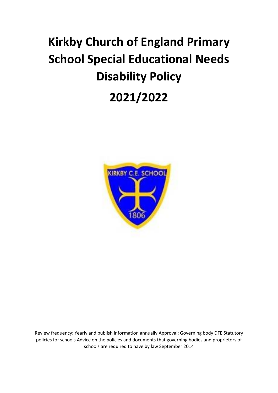# **Kirkby Church of England Primary School Special Educational Needs Disability Policy 2021/2022**



Review frequency: Yearly and publish information annually Approval: Governing body DFE Statutory policies for schools Advice on the policies and documents that governing bodies and proprietors of schools are required to have by law September 2014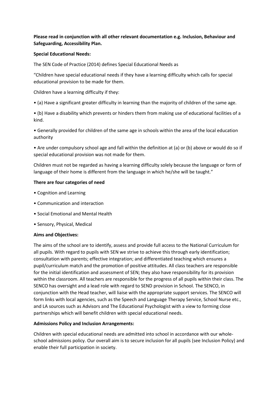## **Please read in conjunction with all other relevant documentation e.g. Inclusion, Behaviour and Safeguarding, Accessibility Plan.**

## **Special Educational Needs:**

The SEN Code of Practice (2014) defines Special Educational Needs as

"Children have special educational needs if they have a learning difficulty which calls for special educational provision to be made for them.

Children have a learning difficulty if they:

• (a) Have a significant greater difficulty in learning than the majority of children of the same age.

• (b) Have a disability which prevents or hinders them from making use of educational facilities of a kind.

• Generally provided for children of the same age in schools within the area of the local education authority

• Are under compulsory school age and fall within the definition at (a) or (b) above or would do so if special educational provision was not made for them.

Children must not be regarded as having a learning difficulty solely because the language or form of language of their home is different from the language in which he/she will be taught."

#### **There are four categories of need**

- Cognition and Learning
- Communication and interaction
- Social Emotional and Mental Health
- Sensory, Physical, Medical

#### **Aims and Objectives:**

The aims of the school are to identify, assess and provide full access to the National Curriculum for all pupils. With regard to pupils with SEN we strive to achieve this through early identification; consultation with parents; effective integration; and differentiated teaching which ensures a pupil/curriculum match and the promotion of positive attitudes. All class teachers are responsible for the initial identification and assessment of SEN; they also have responsibility for its provision within the classroom. All teachers are responsible for the progress of all pupils within their class. The SENCO has oversight and a lead role with regard to SEND provision in School. The SENCO, in conjunction with the Head teacher, will liaise with the appropriate support services. The SENCO will form links with local agencies, such as the Speech and Language Therapy Service, School Nurse etc., and LA sources such as Advisors and The Educational Psychologist with a view to forming close partnerships which will benefit children with special educational needs.

## **Admissions Policy and Inclusion Arrangements:**

Children with special educational needs are admitted into school in accordance with our wholeschool admissions policy. Our overall aim is to secure inclusion for all pupils (see Inclusion Policy) and enable their full participation in society.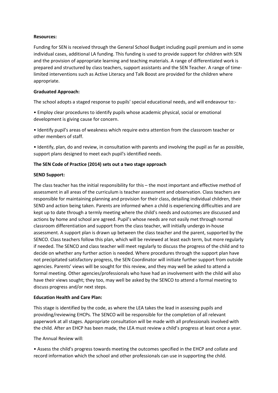## **Resources:**

Funding for SEN is received through the General School Budget including pupil premium and in some individual cases, additional LA funding. This funding is used to provide support for children with SEN and the provision of appropriate learning and teaching materials. A range of differentiated work is prepared and structured by class teachers, support assistants and the SEN Teacher. A range of timelimited interventions such as Active Literacy and Talk Boost are provided for the children where appropriate.

## **Graduated Approach:**

The school adopts a staged response to pupils' special educational needs, and will endeavour to:-

• Employ clear procedures to identify pupils whose academic physical, social or emotional development is giving cause for concern.

• Identify pupil's areas of weakness which require extra attention from the classroom teacher or other members of staff.

• Identify, plan, do and review, in consultation with parents and involving the pupil as far as possible, support plans designed to meet each pupil's identified needs.

## **The SEN Code of Practice (2014) sets out a two stage approach**

## **SEND Support:**

The class teacher has the initial responsibility for this – the most important and effective method of assessment in all areas of the curriculum is teacher assessment and observation. Class teachers are responsible for maintaining planning and provision for their class, detailing individual children, their SEND and action being taken. Parents are informed when a child is experiencing difficulties and are kept up to date through a termly meeting where the child's needs and outcomes are discussed and actions by home and school are agreed. Pupil's whose needs are not easily met through normal classroom differentiation and support from the class teacher, will initially undergo in-house assessment. A support plan is drawn up between the class teacher and the parent, supported by the SENCO. Class teachers follow this plan, which will be reviewed at least each term, but more regularly if needed. The SENCO and class teacher will meet regularly to discuss the progress of the child and to decide on whether any further action is needed. Where procedures through the support plan have not precipitated satisfactory progress, the SEN Coordinator will initiate further support from outside agencies. Parents' views will be sought for this review, and they may well be asked to attend a formal meeting. Other agencies/professionals who have had an involvement with the child will also have their views sought; they too, may well be asked by the SENCO to attend a formal meeting to discuss progress and/or next steps.

#### **Education Health and Care Plan:**

This stage is identified by the code, as where the LEA takes the lead in assessing pupils and providing/reviewing EHCPs. The SENCO will be responsible for the completion of all relevant paperwork at all stages. Appropriate consultation will be made with all professionals involved with the child. After an EHCP has been made, the LEA must review a child's progress at least once a year.

The Annual Review will:

• Assess the child's progress towards meeting the outcomes specified in the EHCP and collate and record information which the school and other professionals can use in supporting the child.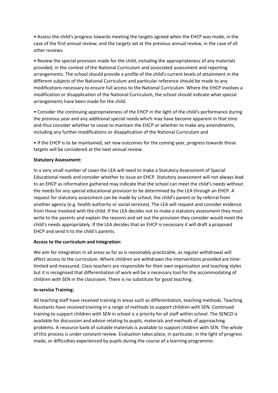• Assess the child's progress towards meeting the targets agreed when the EHCP was made, in the case of the first annual review; and the targets set at the previous annual review, in the case of all other reviews.

• Review the special provision made for the child, including the appropriateness of any materials provided, in the context of the National Curriculum and associated assessment and reporting arrangements. The school should provide a profile of the child's current levels of attainment in the different subjects of the National Curriculum and particular reference should be made to any modifications necessary to ensure full access to the National Curriculum. Where the EHCP involves a modification or disapplication of the National Curriculum, the school should indicate what special arrangements have been made for the child.

• Consider the continuing appropriateness of the EHCP in the light of the child's performance during the previous year and any additional special needs which may have become apparent in that time and thus consider whether to cease to maintain the EHCP or whether to make any amendments, including any further modifications or disapplication of the National Curriculum and

• If the EHCP is to be maintained, set new outcomes for the coming year, progress towards those targets will be considered at the next annual review.

#### **Statutory Assessment:**

In a very small number of cases the LEA will need to make a Statutory Assessment of Special Educational needs and consider whether to issue an EHCP. Statutory assessment will not always lead to an EHCP as information gathered may indicate that the school can meet the child's needs without the needs for any special educational provision to be determined by the LEA through an EHCP. A request for statutory assessment can be made by school; the child's parent or by referral from another agency (e.g. health authority or social services). The LEA will request and consider evidence from those involved with the child. If the LEA decides not to make a statutory assessment they must write to the parents and explain the reasons and set out the provision they consider would meet the child's needs appropriately. If the LEA decides that an EHCP is necessary it will draft a proposed EHCP and send it to the child's parents.

#### **Access to the curriculum and Integration:**

We aim for integration in all areas as far as is reasonably practicable, as regular withdrawal will affect access to the curriculum. Where children are withdrawn the interventions provided are timelimited and measured. Class teachers are responsible for their own organisation and teaching styles but it is recognised that differentiation of work will be a necessary tool for the accommodating of children with SEN in the classroom. There is no substitute for good teaching.

#### **In-service Training:**

All teaching staff have received training in areas such as differentiation, teaching methods. Teaching Assistants have received training in a range of methods to support children with SEN. Continued training to support children with SEN in school is a priority for all staff within school. The SENCO is available for discussion and advice relating to pupils, materials and methods of approaching problems. A resource bank of suitable materials is available to support children with SEN. The whole of this process is under constant review. Evaluation takes place, in particular, in the light of progress made, or difficulties experienced by pupils during the course of a learning programme.